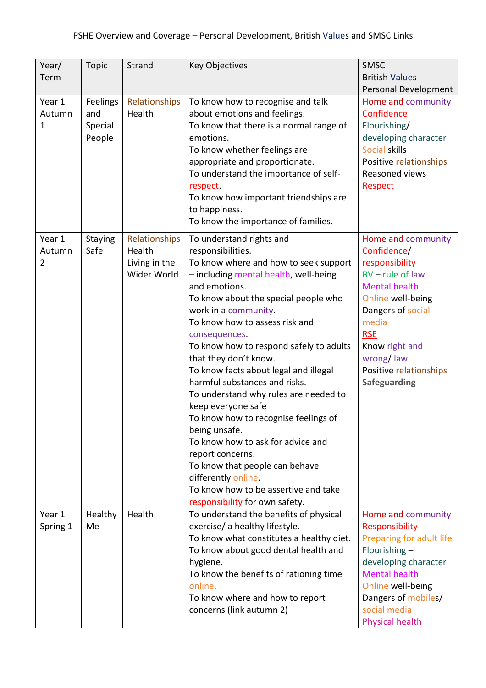| Year/<br>Term                      | <b>Topic</b>                         | Strand                                                  | <b>Key Objectives</b>                                                                                                                                                                                                                                                                                                                                                                                                                                                                                                                                                                                                                                                                                                                 | SMSC<br><b>British Values</b><br>Personal Development                                                                                                                                                                                              |
|------------------------------------|--------------------------------------|---------------------------------------------------------|---------------------------------------------------------------------------------------------------------------------------------------------------------------------------------------------------------------------------------------------------------------------------------------------------------------------------------------------------------------------------------------------------------------------------------------------------------------------------------------------------------------------------------------------------------------------------------------------------------------------------------------------------------------------------------------------------------------------------------------|----------------------------------------------------------------------------------------------------------------------------------------------------------------------------------------------------------------------------------------------------|
| Year 1<br>Autumn<br>1              | Feelings<br>and<br>Special<br>People | Relationships<br>Health                                 | To know how to recognise and talk<br>about emotions and feelings.<br>To know that there is a normal range of<br>emotions.<br>To know whether feelings are<br>appropriate and proportionate.<br>To understand the importance of self-<br>respect.<br>To know how important friendships are<br>to happiness.<br>To know the importance of families.                                                                                                                                                                                                                                                                                                                                                                                     | Home and community<br>Confidence<br>Flourishing/<br>developing character<br>Social skills<br>Positive relationships<br>Reasoned views<br><b>Respect</b>                                                                                            |
| Year 1<br>Autumn<br>$\overline{2}$ | <b>Staying</b><br>Safe               | Relationships<br>Health<br>Living in the<br>Wider World | To understand rights and<br>responsibilities.<br>To know where and how to seek support<br>- including mental health, well-being<br>and emotions.<br>To know about the special people who<br>work in a community.<br>To know how to assess risk and<br>consequences.<br>To know how to respond safely to adults<br>that they don't know.<br>To know facts about legal and illegal<br>harmful substances and risks.<br>To understand why rules are needed to<br>keep everyone safe<br>To know how to recognise feelings of<br>being unsafe.<br>To know how to ask for advice and<br>report concerns.<br>To know that people can behave<br>differently online.<br>To know how to be assertive and take<br>responsibility for own safety. | Home and community<br>Confidence/<br>responsibility<br>$BV$ – rule of law<br><b>Mental health</b><br>Online well-being<br>Dangers of social<br>media<br><b>RSE</b><br>Know right and<br>wrong/law<br>Positive relationships<br><b>Safeguarding</b> |
| Year 1<br>Spring 1                 | Healthy<br>Me                        | Health                                                  | To understand the benefits of physical<br>exercise/ a healthy lifestyle.<br>To know what constitutes a healthy diet.<br>To know about good dental health and<br>hygiene.<br>To know the benefits of rationing time<br>online.<br>To know where and how to report<br>concerns (link autumn 2)                                                                                                                                                                                                                                                                                                                                                                                                                                          | Home and community<br>Responsibility<br>Preparing for adult life<br>Flourishing $-$<br>developing character<br><b>Mental health</b><br>Online well-being<br>Dangers of mobiles/<br>social media<br><b>Physical health</b>                          |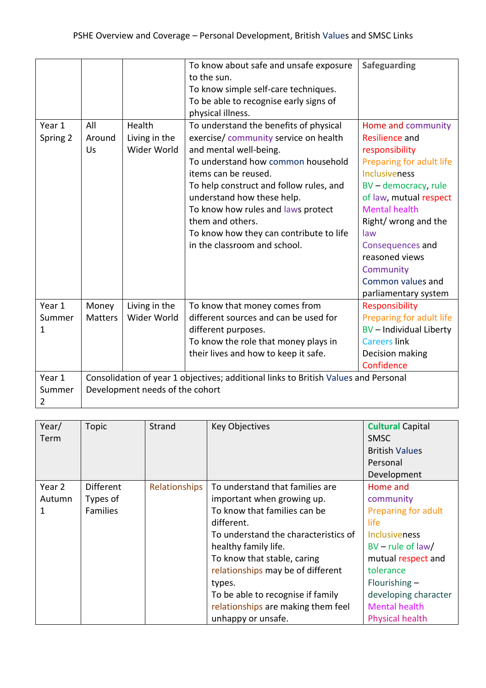|          |                |                                 | To know about safe and unsafe exposure                                              | <b>Safeguarding</b>      |
|----------|----------------|---------------------------------|-------------------------------------------------------------------------------------|--------------------------|
|          |                |                                 | to the sun.                                                                         |                          |
|          |                |                                 | To know simple self-care techniques.                                                |                          |
|          |                |                                 | To be able to recognise early signs of                                              |                          |
|          |                |                                 | physical illness.                                                                   |                          |
| Year 1   | All            | Health                          | To understand the benefits of physical                                              | Home and community       |
| Spring 2 | Around         | Living in the                   | exercise/community service on health                                                | <b>Resilience and</b>    |
|          | Us             | Wider World                     | and mental well-being.                                                              | responsibility           |
|          |                |                                 | To understand how common household                                                  | Preparing for adult life |
|          |                |                                 | items can be reused.                                                                | <b>Inclusiveness</b>     |
|          |                |                                 | To help construct and follow rules, and                                             | BV - democracy, rule     |
|          |                |                                 | understand how these help.                                                          | of law, mutual respect   |
|          |                |                                 | To know how rules and laws protect                                                  | <b>Mental health</b>     |
|          |                |                                 | them and others.                                                                    | Right/ wrong and the     |
|          |                |                                 | To know how they can contribute to life                                             | law                      |
|          |                |                                 | in the classroom and school.                                                        | Consequences and         |
|          |                |                                 |                                                                                     | reasoned views           |
|          |                |                                 |                                                                                     | Community                |
|          |                |                                 |                                                                                     | Common values and        |
|          |                |                                 |                                                                                     | parliamentary system     |
| Year 1   | Money          | Living in the                   | To know that money comes from                                                       | Responsibility           |
| Summer   | <b>Matters</b> | Wider World                     | different sources and can be used for                                               | Preparing for adult life |
| 1        |                |                                 | different purposes.                                                                 | BV - Individual Liberty  |
|          |                |                                 | To know the role that money plays in                                                | <b>Careers link</b>      |
|          |                |                                 | their lives and how to keep it safe.                                                | Decision making          |
|          |                |                                 |                                                                                     | Confidence               |
| Year 1   |                |                                 | Consolidation of year 1 objectives; additional links to British Values and Personal |                          |
| Summer   |                | Development needs of the cohort |                                                                                     |                          |
| 2        |                |                                 |                                                                                     |                          |

| Year/<br>Term | <b>Topic</b>     | Strand        | <b>Key Objectives</b>                | <b>Cultural Capital</b><br><b>SMSC</b><br><b>British Values</b><br>Personal<br>Development |
|---------------|------------------|---------------|--------------------------------------|--------------------------------------------------------------------------------------------|
| Year 2        | <b>Different</b> | Relationships | To understand that families are      | Home and                                                                                   |
| Autumn        | Types of         |               | important when growing up.           | community                                                                                  |
| 1             | <b>Families</b>  |               | To know that families can be         | Preparing for adult                                                                        |
|               |                  |               | different.                           | life                                                                                       |
|               |                  |               | To understand the characteristics of | <b>Inclusiveness</b>                                                                       |
|               |                  |               | healthy family life.                 | $BV$ – rule of law/                                                                        |
|               |                  |               | To know that stable, caring          | mutual respect and                                                                         |
|               |                  |               | relationships may be of different    | tolerance                                                                                  |
|               |                  |               | types.                               | Flourishing $-$                                                                            |
|               |                  |               | To be able to recognise if family    | developing character                                                                       |
|               |                  |               | relationships are making them feel   | <b>Mental health</b>                                                                       |
|               |                  |               | unhappy or unsafe.                   | <b>Physical health</b>                                                                     |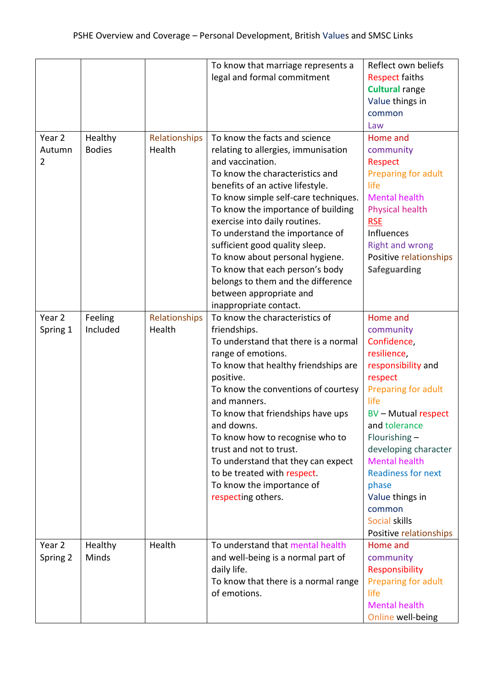|                                    |                          |                         | To know that marriage represents a<br>legal and formal commitment                                                                                                                                                                                                                                                                                                                                                                                                                                                    | Reflect own beliefs<br><b>Respect faiths</b><br><b>Cultural range</b><br>Value things in<br>common                                                                                                                                                                                                                                             |
|------------------------------------|--------------------------|-------------------------|----------------------------------------------------------------------------------------------------------------------------------------------------------------------------------------------------------------------------------------------------------------------------------------------------------------------------------------------------------------------------------------------------------------------------------------------------------------------------------------------------------------------|------------------------------------------------------------------------------------------------------------------------------------------------------------------------------------------------------------------------------------------------------------------------------------------------------------------------------------------------|
| Year 2<br>Autumn<br>$\overline{2}$ | Healthy<br><b>Bodies</b> | Relationships<br>Health | To know the facts and science<br>relating to allergies, immunisation<br>and vaccination.<br>To know the characteristics and<br>benefits of an active lifestyle.<br>To know simple self-care techniques.<br>To know the importance of building<br>exercise into daily routines.<br>To understand the importance of<br>sufficient good quality sleep.<br>To know about personal hygiene.<br>To know that each person's body<br>belongs to them and the difference<br>between appropriate and<br>inappropriate contact. | Law<br>Home and<br>community<br>Respect<br>Preparing for adult<br>life<br><b>Mental health</b><br><b>Physical health</b><br><b>RSE</b><br><b>Influences</b><br><b>Right and wrong</b><br>Positive relationships<br><b>Safeguarding</b>                                                                                                         |
| Year <sub>2</sub><br>Spring 1      | Feeling<br>Included      | Relationships<br>Health | To know the characteristics of<br>friendships.<br>To understand that there is a normal<br>range of emotions.<br>To know that healthy friendships are<br>positive.<br>To know the conventions of courtesy<br>and manners.<br>To know that friendships have ups<br>and downs.<br>To know how to recognise who to<br>trust and not to trust.<br>To understand that they can expect<br>to be treated with respect.<br>To know the importance of<br>respecting others.                                                    | Home and<br>community<br>Confidence,<br>resilience,<br>responsibility and<br>respect<br>Preparing for adult<br>life<br><b>BV-Mutual respect</b><br>and tolerance<br>Flourishing-<br>developing character<br><b>Mental health</b><br><b>Readiness for next</b><br>phase<br>Value things in<br>common<br>Social skills<br>Positive relationships |
| Year 2<br>Spring 2                 | Healthy<br>Minds         | Health                  | To understand that mental health<br>and well-being is a normal part of<br>daily life.<br>To know that there is a normal range<br>of emotions.                                                                                                                                                                                                                                                                                                                                                                        | Home and<br>community<br>Responsibility<br>Preparing for adult<br>life<br><b>Mental health</b><br>Online well-being                                                                                                                                                                                                                            |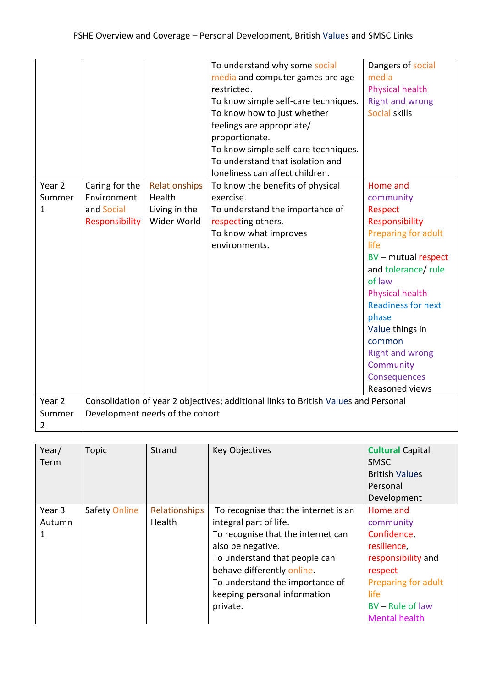|                |                |                                 | To understand why some social                                                       | Dangers of social         |
|----------------|----------------|---------------------------------|-------------------------------------------------------------------------------------|---------------------------|
|                |                |                                 | media and computer games are age                                                    | media                     |
|                |                |                                 | restricted.                                                                         | <b>Physical health</b>    |
|                |                |                                 | To know simple self-care techniques.                                                | <b>Right and wrong</b>    |
|                |                |                                 | To know how to just whether                                                         | Social skills             |
|                |                |                                 | feelings are appropriate/                                                           |                           |
|                |                |                                 | proportionate.                                                                      |                           |
|                |                |                                 | To know simple self-care techniques.                                                |                           |
|                |                |                                 | To understand that isolation and                                                    |                           |
|                |                |                                 | loneliness can affect children.                                                     |                           |
| Year 2         | Caring for the | Relationships                   | To know the benefits of physical                                                    | Home and                  |
| Summer         | Environment    | Health                          | exercise.                                                                           | community                 |
| 1              | and Social     | Living in the                   | To understand the importance of                                                     | <b>Respect</b>            |
|                | Responsibility | Wider World                     | respecting others.                                                                  | Responsibility            |
|                |                |                                 | To know what improves                                                               | Preparing for adult       |
|                |                |                                 | environments.                                                                       | life                      |
|                |                |                                 |                                                                                     | BV - mutual respect       |
|                |                |                                 |                                                                                     | and tolerance/ rule       |
|                |                |                                 |                                                                                     | of law                    |
|                |                |                                 |                                                                                     | <b>Physical health</b>    |
|                |                |                                 |                                                                                     | <b>Readiness for next</b> |
|                |                |                                 |                                                                                     | phase                     |
|                |                |                                 |                                                                                     | Value things in           |
|                |                |                                 |                                                                                     | common                    |
|                |                |                                 |                                                                                     | <b>Right and wrong</b>    |
|                |                |                                 |                                                                                     | Community                 |
|                |                |                                 |                                                                                     | Consequences              |
|                |                |                                 |                                                                                     | Reasoned views            |
| Year 2         |                |                                 | Consolidation of year 2 objectives; additional links to British Values and Personal |                           |
| Summer         |                | Development needs of the cohort |                                                                                     |                           |
| $\overline{2}$ |                |                                 |                                                                                     |                           |

| Year/<br>Term | <b>Topic</b>         | Strand        | <b>Key Objectives</b>                | <b>Cultural Capital</b><br><b>SMSC</b><br><b>British Values</b><br>Personal |
|---------------|----------------------|---------------|--------------------------------------|-----------------------------------------------------------------------------|
|               |                      |               |                                      | Development                                                                 |
| Year 3        | <b>Safety Online</b> | Relationships | To recognise that the internet is an | Home and                                                                    |
| Autumn        |                      | Health        | integral part of life.               | community                                                                   |
| 1             |                      |               | To recognise that the internet can   | Confidence,                                                                 |
|               |                      |               | also be negative.                    | resilience.                                                                 |
|               |                      |               | To understand that people can        | responsibility and                                                          |
|               |                      |               | behave differently online.           | respect                                                                     |
|               |                      |               | To understand the importance of      | Preparing for adult                                                         |
|               |                      |               | keeping personal information         | life                                                                        |
|               |                      |               | private.                             | BV - Rule of law                                                            |
|               |                      |               |                                      | <b>Mental health</b>                                                        |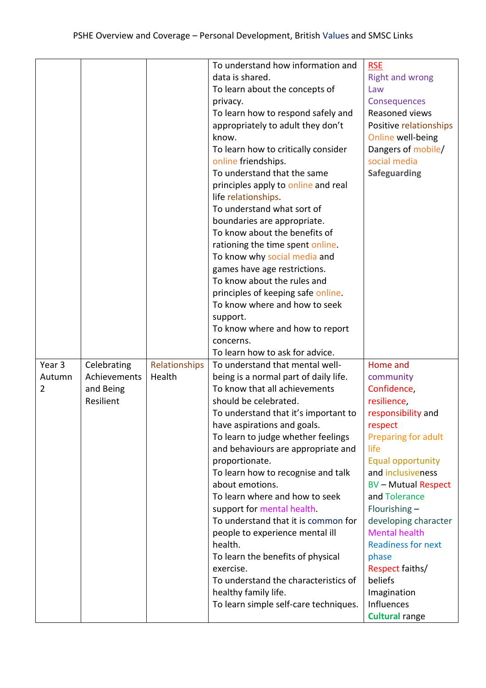|        |              |               | To understand how information and     | <b>RSE</b>                |
|--------|--------------|---------------|---------------------------------------|---------------------------|
|        |              |               | data is shared.                       | <b>Right and wrong</b>    |
|        |              |               | To learn about the concepts of        | Law                       |
|        |              |               | privacy.                              | Consequences              |
|        |              |               | To learn how to respond safely and    | Reasoned views            |
|        |              |               | appropriately to adult they don't     | Positive relationships    |
|        |              |               | know.                                 | Online well-being         |
|        |              |               | To learn how to critically consider   | Dangers of mobile/        |
|        |              |               | online friendships.                   | social media              |
|        |              |               | To understand that the same           | <b>Safeguarding</b>       |
|        |              |               | principles apply to online and real   |                           |
|        |              |               | life relationships.                   |                           |
|        |              |               | To understand what sort of            |                           |
|        |              |               | boundaries are appropriate.           |                           |
|        |              |               | To know about the benefits of         |                           |
|        |              |               | rationing the time spent online.      |                           |
|        |              |               | To know why social media and          |                           |
|        |              |               | games have age restrictions.          |                           |
|        |              |               | To know about the rules and           |                           |
|        |              |               | principles of keeping safe online.    |                           |
|        |              |               | To know where and how to seek         |                           |
|        |              |               | support.                              |                           |
|        |              |               | To know where and how to report       |                           |
|        |              |               | concerns.                             |                           |
|        |              |               | To learn how to ask for advice.       |                           |
| Year 3 | Celebrating  | Relationships | To understand that mental well-       | Home and                  |
| Autumn | Achievements | Health        | being is a normal part of daily life. | community                 |
| 2      | and Being    |               | To know that all achievements         | Confidence,               |
|        | Resilient    |               | should be celebrated.                 | resilience,               |
|        |              |               | To understand that it's important to  | responsibility and        |
|        |              |               | have aspirations and goals.           | respect                   |
|        |              |               | To learn to judge whether feelings    | Preparing for adult       |
|        |              |               | and behaviours are appropriate and    | life                      |
|        |              |               | proportionate.                        | <b>Equal opportunity</b>  |
|        |              |               | To learn how to recognise and talk    | and inclusiveness         |
|        |              |               | about emotions.                       | <b>BV-Mutual Respect</b>  |
|        |              |               | To learn where and how to seek        | and Tolerance             |
|        |              |               | support for mental health.            | Flourishing-              |
|        |              |               | To understand that it is common for   | developing character      |
|        |              |               | people to experience mental ill       | <b>Mental health</b>      |
|        |              |               | health.                               | <b>Readiness for next</b> |
|        |              |               | To learn the benefits of physical     | phase                     |
|        |              |               | exercise.                             | Respect faiths/           |
|        |              |               | To understand the characteristics of  | beliefs                   |
|        |              |               | healthy family life.                  | Imagination               |
|        |              |               | To learn simple self-care techniques. | Influences                |
|        |              |               |                                       | <b>Cultural range</b>     |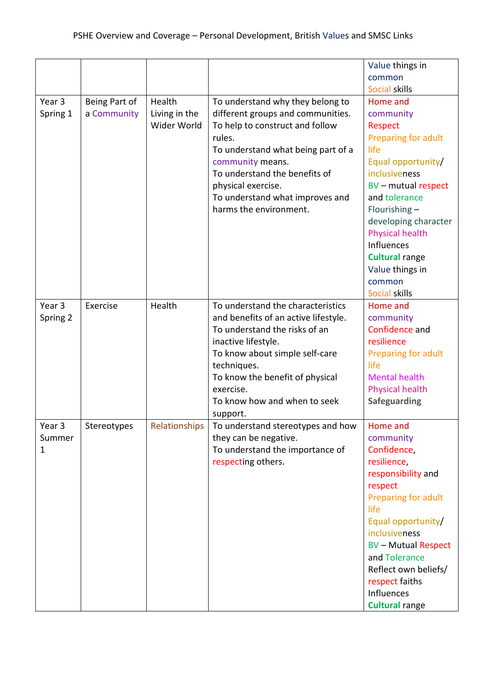|          |               |               |                                      | Value things in<br>common |
|----------|---------------|---------------|--------------------------------------|---------------------------|
|          |               |               |                                      | Social skills             |
| Year 3   | Being Part of | Health        | To understand why they belong to     | Home and                  |
| Spring 1 | a Community   | Living in the | different groups and communities.    | community                 |
|          |               | Wider World   | To help to construct and follow      | <b>Respect</b>            |
|          |               |               | rules.                               | Preparing for adult       |
|          |               |               | To understand what being part of a   | life                      |
|          |               |               | community means.                     | Equal opportunity/        |
|          |               |               | To understand the benefits of        | inclusiveness             |
|          |               |               | physical exercise.                   | BV - mutual respect       |
|          |               |               | To understand what improves and      | and tolerance             |
|          |               |               | harms the environment.               | Flourishing $-$           |
|          |               |               |                                      | developing character      |
|          |               |               |                                      | <b>Physical health</b>    |
|          |               |               |                                      | Influences                |
|          |               |               |                                      | <b>Cultural range</b>     |
|          |               |               |                                      | Value things in           |
|          |               |               |                                      | common                    |
|          |               |               |                                      | Social skills             |
| Year 3   | Exercise      | Health        | To understand the characteristics    | Home and                  |
| Spring 2 |               |               | and benefits of an active lifestyle. | community                 |
|          |               |               | To understand the risks of an        | Confidence and            |
|          |               |               | inactive lifestyle.                  | resilience                |
|          |               |               | To know about simple self-care       | Preparing for adult       |
|          |               |               | techniques.                          | life                      |
|          |               |               | To know the benefit of physical      | <b>Mental health</b>      |
|          |               |               | exercise.                            | <b>Physical health</b>    |
|          |               |               | To know how and when to seek         | <b>Safeguarding</b>       |
|          |               |               | support.                             |                           |
| Year 3   | Stereotypes   | Relationships | To understand stereotypes and how    | Home and                  |
| Summer   |               |               | they can be negative.                | community                 |
| 1        |               |               | To understand the importance of      | Confidence,               |
|          |               |               | respecting others.                   | resilience,               |
|          |               |               |                                      | responsibility and        |
|          |               |               |                                      | respect                   |
|          |               |               |                                      | Preparing for adult       |
|          |               |               |                                      | life                      |
|          |               |               |                                      | Equal opportunity/        |
|          |               |               |                                      | inclusiveness             |
|          |               |               |                                      | <b>BV-Mutual Respect</b>  |
|          |               |               |                                      | and Tolerance             |
|          |               |               |                                      | Reflect own beliefs/      |
|          |               |               |                                      | respect faiths            |
|          |               |               |                                      | Influences                |
|          |               |               |                                      | <b>Cultural range</b>     |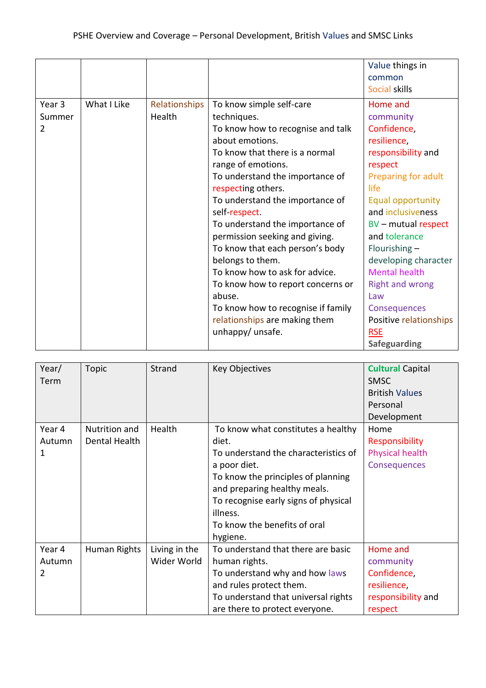|        |             |               |                                    | Value things in          |
|--------|-------------|---------------|------------------------------------|--------------------------|
|        |             |               |                                    | common                   |
|        |             |               |                                    | Social skills            |
| Year 3 | What I Like | Relationships | To know simple self-care           | Home and                 |
| Summer |             | Health        | techniques.                        | community                |
| 2      |             |               | To know how to recognise and talk  | Confidence,              |
|        |             |               | about emotions.                    | resilience,              |
|        |             |               | To know that there is a normal     | responsibility and       |
|        |             |               | range of emotions.                 | respect                  |
|        |             |               | To understand the importance of    | Preparing for adult      |
|        |             |               | respecting others.                 | life                     |
|        |             |               | To understand the importance of    | <b>Equal opportunity</b> |
|        |             |               | self respect.                      | and inclusiveness        |
|        |             |               | To understand the importance of    | BV - mutual respect      |
|        |             |               | permission seeking and giving.     | and tolerance            |
|        |             |               | To know that each person's body    | Flourishing $-$          |
|        |             |               | belongs to them.                   | developing character     |
|        |             |               | To know how to ask for advice.     | <b>Mental health</b>     |
|        |             |               | To know how to report concerns or  | <b>Right and wrong</b>   |
|        |             |               | abuse.                             | Law                      |
|        |             |               | To know how to recognise if family | Consequences             |
|        |             |               | relationships are making them      | Positive relationships   |
|        |             |               | unhappy/ unsafe.                   | <b>RSE</b>               |
|        |             |               |                                    | <b>Safeguarding</b>      |

| Year/<br>Term         | <b>Topic</b>                   | Strand                       | <b>Key Objectives</b>                                                                                                                                                                                                                                                     | <b>Cultural Capital</b><br><b>SMSC</b><br><b>British Values</b><br>Personal<br>Development |
|-----------------------|--------------------------------|------------------------------|---------------------------------------------------------------------------------------------------------------------------------------------------------------------------------------------------------------------------------------------------------------------------|--------------------------------------------------------------------------------------------|
| Year 4<br>Autumn<br>1 | Nutrition and<br>Dental Health | Health                       | To know what constitutes a healthy<br>diet.<br>To understand the characteristics of<br>a poor diet.<br>To know the principles of planning<br>and preparing healthy meals.<br>To recognise early signs of physical<br>illness.<br>To know the benefits of oral<br>hygiene. | Home<br>Responsibility<br><b>Physical health</b><br>Consequences                           |
| Year 4<br>Autumn<br>2 | Human Rights                   | Living in the<br>Wider World | To understand that there are basic<br>human rights.<br>To understand why and how laws<br>and rules protect them.<br>To understand that universal rights<br>are there to protect everyone.                                                                                 | Home and<br>community<br>Confidence,<br>resilience,<br>responsibility and<br>respect       |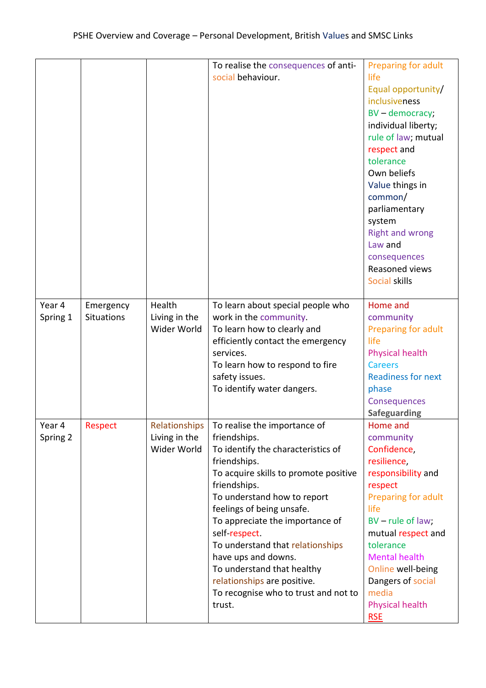|                    |                         |                                        | To realise the consequences of anti-<br>social behaviour.                                                                                                                                                                                                                                                                                                                                                                                                             | Preparing for adult<br>life<br>Equal opportunity/<br>inclusiveness<br>BV - democracy;<br>individual liberty;<br>rule of law; mutual<br>respect and<br>tolerance<br>Own beliefs<br>Value things in<br>common/<br>parliamentary<br>system<br><b>Right and wrong</b><br>Law and<br>consequences<br>Reasoned views<br>Social skills |
|--------------------|-------------------------|----------------------------------------|-----------------------------------------------------------------------------------------------------------------------------------------------------------------------------------------------------------------------------------------------------------------------------------------------------------------------------------------------------------------------------------------------------------------------------------------------------------------------|---------------------------------------------------------------------------------------------------------------------------------------------------------------------------------------------------------------------------------------------------------------------------------------------------------------------------------|
| Year 4<br>Spring 1 | Emergency<br>Situations | Health<br>Living in the<br>Wider World | To learn about special people who<br>work in the community.<br>To learn how to clearly and<br>efficiently contact the emergency<br>services.<br>To learn how to respond to fire<br>safety issues.<br>To identify water dangers.                                                                                                                                                                                                                                       | Home and<br>community<br>Preparing for adult<br>life<br><b>Physical health</b><br><b>Careers</b><br><b>Readiness for next</b><br>phase<br>Consequences<br>Safeguarding                                                                                                                                                          |
| Year 4<br>Spring 2 | Respect                 | Living in the<br>Wider World           | Relationships   To realise the importance of<br>friendships.<br>To identify the characteristics of<br>friendships.<br>To acquire skills to promote positive<br>friendships.<br>To understand how to report<br>feelings of being unsafe.<br>To appreciate the importance of<br>self respect.<br>To understand that relationships<br>have ups and downs.<br>To understand that healthy<br>relationships are positive.<br>To recognise who to trust and not to<br>trust. | Home and<br>community<br>Confidence,<br>resilience,<br>responsibility and<br>respect<br>Preparing for adult<br>life<br>BV - rule of law;<br>mutual respect and<br>tolerance<br><b>Mental health</b><br>Online well-being<br>Dangers of social<br>media<br><b>Physical health</b><br><b>RSE</b>                                  |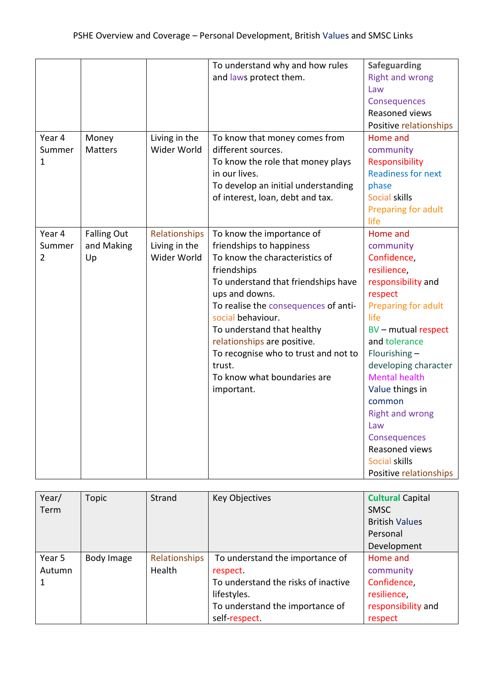|                |                    |               | To understand why and how rules      | <b>Safeguarding</b>       |
|----------------|--------------------|---------------|--------------------------------------|---------------------------|
|                |                    |               | and laws protect them.               | <b>Right and wrong</b>    |
|                |                    |               |                                      | Law                       |
|                |                    |               |                                      | Consequences              |
|                |                    |               |                                      | Reasoned views            |
|                |                    |               |                                      | Positive relationships    |
| Year 4         | Money              | Living in the | To know that money comes from        | Home and                  |
| Summer         | <b>Matters</b>     | Wider World   | different sources.                   | community                 |
| 1              |                    |               | To know the role that money plays    | Responsibility            |
|                |                    |               | in our lives.                        | <b>Readiness for next</b> |
|                |                    |               | To develop an initial understanding  | phase                     |
|                |                    |               | of interest, loan, debt and tax.     | Social skills             |
|                |                    |               |                                      | Preparing for adult       |
|                |                    |               |                                      | life                      |
| Year 4         | <b>Falling Out</b> | Relationships | To know the importance of            | Home and                  |
| Summer         | and Making         | Living in the | friendships to happiness             | community                 |
| $\overline{2}$ | Up                 | Wider World   | To know the characteristics of       | Confidence,               |
|                |                    |               | friendships                          | resilience,               |
|                |                    |               | To understand that friendships have  | responsibility and        |
|                |                    |               | ups and downs.                       | respect                   |
|                |                    |               | To realise the consequences of anti- | Preparing for adult       |
|                |                    |               | social behaviour.                    | life                      |
|                |                    |               | To understand that healthy           | BV - mutual respect       |
|                |                    |               | relationships are positive.          | and tolerance             |
|                |                    |               | To recognise who to trust and not to | Flourishing-              |
|                |                    |               | trust.                               | developing character      |
|                |                    |               | To know what boundaries are          | <b>Mental health</b>      |
|                |                    |               | important.                           | Value things in           |
|                |                    |               |                                      | common                    |
|                |                    |               |                                      | <b>Right and wrong</b>    |
|                |                    |               |                                      | Law                       |
|                |                    |               |                                      | Consequences              |
|                |                    |               |                                      | Reasoned views            |
|                |                    |               |                                      | Social skills             |
|                |                    |               |                                      | Positive relationships    |

| Year/  | Topic      | Strand        | <b>Key Objectives</b>               | <b>Cultural Capital</b> |
|--------|------------|---------------|-------------------------------------|-------------------------|
| Term   |            |               |                                     | <b>SMSC</b>             |
|        |            |               |                                     | <b>British Values</b>   |
|        |            |               |                                     | Personal                |
|        |            |               |                                     | Development             |
| Year 5 | Body Image | Relationships | To understand the importance of     | Home and                |
| Autumn |            | Health        | respect.                            | community               |
|        |            |               | To understand the risks of inactive | Confidence,             |
|        |            |               | lifestyles.                         | resilience,             |
|        |            |               | To understand the importance of     | responsibility and      |
|        |            |               | self-respect.                       | respect                 |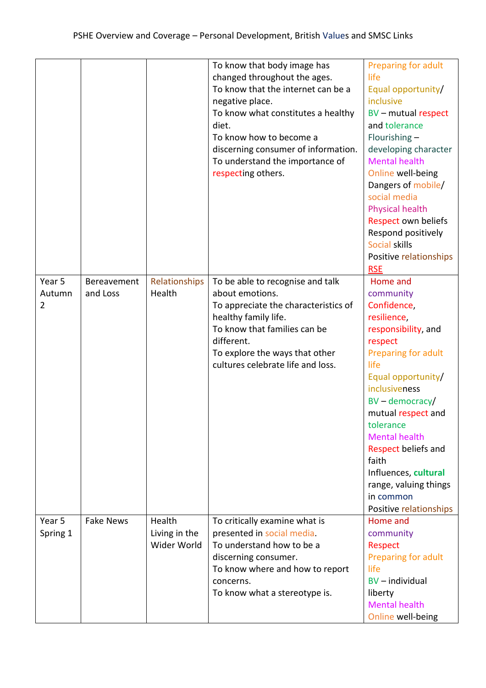|                   |                  |                              | To know that body image has                                 | Preparing for adult         |
|-------------------|------------------|------------------------------|-------------------------------------------------------------|-----------------------------|
|                   |                  |                              | changed throughout the ages.                                | life                        |
|                   |                  |                              | To know that the internet can be a                          | Equal opportunity/          |
|                   |                  |                              | negative place.                                             | inclusive                   |
|                   |                  |                              | To know what constitutes a healthy                          | BV - mutual respect         |
|                   |                  |                              | diet.                                                       | and tolerance               |
|                   |                  |                              | To know how to become a                                     | Flourishing-                |
|                   |                  |                              | discerning consumer of information.                         | developing character        |
|                   |                  |                              | To understand the importance of                             | <b>Mental health</b>        |
|                   |                  |                              | respecting others.                                          | Online well-being           |
|                   |                  |                              |                                                             | Dangers of mobile/          |
|                   |                  |                              |                                                             | social media                |
|                   |                  |                              |                                                             | <b>Physical health</b>      |
|                   |                  |                              |                                                             | Respect own beliefs         |
|                   |                  |                              |                                                             | Respond positively          |
|                   |                  |                              |                                                             | Social skills               |
|                   |                  |                              |                                                             | Positive relationships      |
|                   |                  |                              |                                                             | <b>RSE</b>                  |
| Year <sub>5</sub> | Bereavement      | Relationships                | To be able to recognise and talk                            | Home and                    |
| Autumn            | and Loss         | Health                       | about emotions.                                             | community                   |
| 2                 |                  |                              | To appreciate the characteristics of                        | Confidence,                 |
|                   |                  |                              | healthy family life.                                        | resilience,                 |
|                   |                  |                              | To know that families can be                                | responsibility, and         |
|                   |                  |                              | different.                                                  | respect                     |
|                   |                  |                              | To explore the ways that other                              | <b>Preparing for adult</b>  |
|                   |                  |                              | cultures celebrate life and loss.                           | life                        |
|                   |                  |                              |                                                             | Equal opportunity/          |
|                   |                  |                              |                                                             | inclusiveness               |
|                   |                  |                              |                                                             | $BV$ – democracy/           |
|                   |                  |                              |                                                             | mutual respect and          |
|                   |                  |                              |                                                             | tolerance                   |
|                   |                  |                              |                                                             | <b>Mental health</b>        |
|                   |                  |                              |                                                             | Respect beliefs and         |
|                   |                  |                              |                                                             | faith                       |
|                   |                  |                              |                                                             | Influences, cultural        |
|                   |                  |                              |                                                             | range, valuing things       |
|                   |                  |                              |                                                             | in common                   |
|                   |                  | Health                       |                                                             | Positive relationships      |
| Year 5            | <b>Fake News</b> |                              | To critically examine what is<br>presented in social media. | Home and                    |
| Spring 1          |                  | Living in the<br>Wider World | To understand how to be a                                   | community                   |
|                   |                  |                              |                                                             | Respect                     |
|                   |                  |                              | discerning consumer.                                        | Preparing for adult<br>life |
|                   |                  |                              | To know where and how to report                             | $BV$ – individual           |
|                   |                  |                              | concerns.                                                   | liberty                     |
|                   |                  |                              | To know what a stereotype is.                               | <b>Mental health</b>        |
|                   |                  |                              |                                                             |                             |
|                   |                  |                              |                                                             | Online well-being           |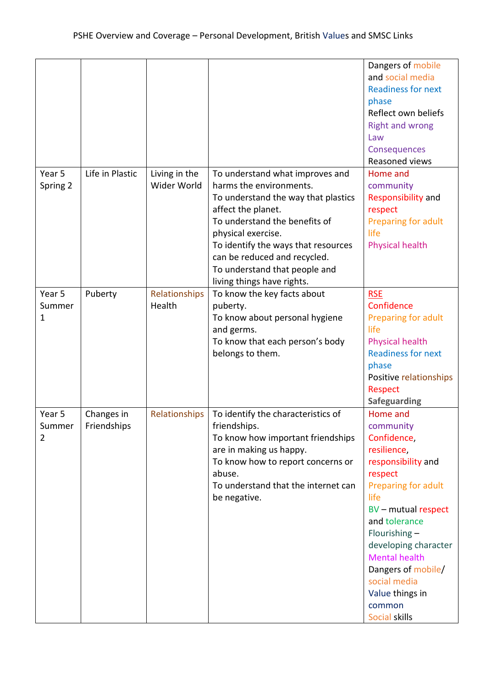|          |                 |               |                                     | Dangers of mobile         |
|----------|-----------------|---------------|-------------------------------------|---------------------------|
|          |                 |               |                                     | and social media          |
|          |                 |               |                                     | <b>Readiness for next</b> |
|          |                 |               |                                     | phase                     |
|          |                 |               |                                     | Reflect own beliefs       |
|          |                 |               |                                     | <b>Right and wrong</b>    |
|          |                 |               |                                     | Law                       |
|          |                 |               |                                     | Consequences              |
|          |                 |               |                                     | Reasoned views            |
| Year 5   | Life in Plastic | Living in the | To understand what improves and     | Home and                  |
| Spring 2 |                 | Wider World   | harms the environments.             | community                 |
|          |                 |               | To understand the way that plastics | Responsibility and        |
|          |                 |               | affect the planet.                  | respect                   |
|          |                 |               | To understand the benefits of       | Preparing for adult       |
|          |                 |               | physical exercise.                  | life                      |
|          |                 |               | To identify the ways that resources | Physical health           |
|          |                 |               | can be reduced and recycled.        |                           |
|          |                 |               | To understand that people and       |                           |
|          |                 |               | living things have rights.          |                           |
| Year 5   | Puberty         | Relationships | To know the key facts about         | <b>RSE</b>                |
| Summer   |                 | Health        | puberty.                            | Confidence                |
| 1        |                 |               | To know about personal hygiene      | Preparing for adult       |
|          |                 |               | and germs.                          | life                      |
|          |                 |               | To know that each person's body     | <b>Physical health</b>    |
|          |                 |               | belongs to them.                    | <b>Readiness for next</b> |
|          |                 |               |                                     | phase                     |
|          |                 |               |                                     | Positive relationships    |
|          |                 |               |                                     | <b>Respect</b>            |
|          |                 |               |                                     | <b>Safeguarding</b>       |
| Year 5   | Changes in      | Relationships | To identify the characteristics of  | Home and                  |
| Summer   | Friendships     |               | friendships.                        | community                 |
| 2        |                 |               | To know how important friendships   | Confidence,               |
|          |                 |               | are in making us happy.             | resilience,               |
|          |                 |               | To know how to report concerns or   | responsibility and        |
|          |                 |               | abuse.                              | respect                   |
|          |                 |               | To understand that the internet can | Preparing for adult       |
|          |                 |               | be negative.                        | life                      |
|          |                 |               |                                     | BV - mutual respect       |
|          |                 |               |                                     | and tolerance             |
|          |                 |               |                                     | Flourishing-              |
|          |                 |               |                                     | developing character      |
|          |                 |               |                                     | <b>Mental health</b>      |
|          |                 |               |                                     | Dangers of mobile/        |
|          |                 |               |                                     | social media              |
|          |                 |               |                                     | Value things in           |
|          |                 |               |                                     | common                    |
|          |                 |               |                                     | Social skills             |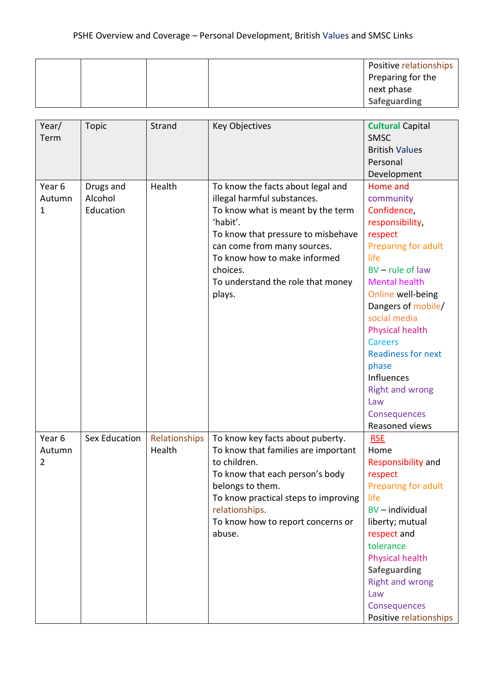|  |  | Positive relationships |
|--|--|------------------------|
|  |  | Preparing for the      |
|  |  | next phase             |
|  |  | Safeguarding           |

| Year/<br>Term                      | <b>Topic</b>                      | Strand                  | <b>Key Objectives</b>                                                                                                                                                                                                                                                             | <b>Cultural Capital</b><br><b>SMSC</b><br><b>British Values</b><br>Personal<br>Development                                                                                                                                                                                                                                                                                    |
|------------------------------------|-----------------------------------|-------------------------|-----------------------------------------------------------------------------------------------------------------------------------------------------------------------------------------------------------------------------------------------------------------------------------|-------------------------------------------------------------------------------------------------------------------------------------------------------------------------------------------------------------------------------------------------------------------------------------------------------------------------------------------------------------------------------|
| Year 6<br>Autumn<br>$\mathbf{1}$   | Drugs and<br>Alcohol<br>Education | Health                  | To know the facts about legal and<br>illegal harmful substances.<br>To know what is meant by the term<br>'habit'.<br>To know that pressure to misbehave<br>can come from many sources.<br>To know how to make informed<br>choices.<br>To understand the role that money<br>plays. | Home and<br>community<br>Confidence,<br>responsibility,<br>respect<br>Preparing for adult<br>life<br>$BV$ – rule of law<br><b>Mental health</b><br>Online well-being<br>Dangers of mobile/<br>social media<br><b>Physical health</b><br><b>Careers</b><br><b>Readiness for next</b><br>phase<br>Influences<br><b>Right and wrong</b><br>Law<br>Consequences<br>Reasoned views |
| Year 6<br>Autumn<br>$\overline{2}$ | Sex Education                     | Relationships<br>Health | To know key facts about puberty.<br>To know that families are important<br>to children.<br>To know that each person's body<br>belongs to them.<br>To know practical steps to improving<br>relationships.<br>To know how to report concerns or<br>abuse.                           | <b>RSE</b><br>Home<br>Responsibility and<br>respect<br>Preparing for adult<br>life<br>BV - individual<br>liberty; mutual<br>respect and<br>tolerance<br><b>Physical health</b><br><b>Safeguarding</b><br><b>Right and wrong</b><br>Law<br>Consequences<br>Positive relationships                                                                                              |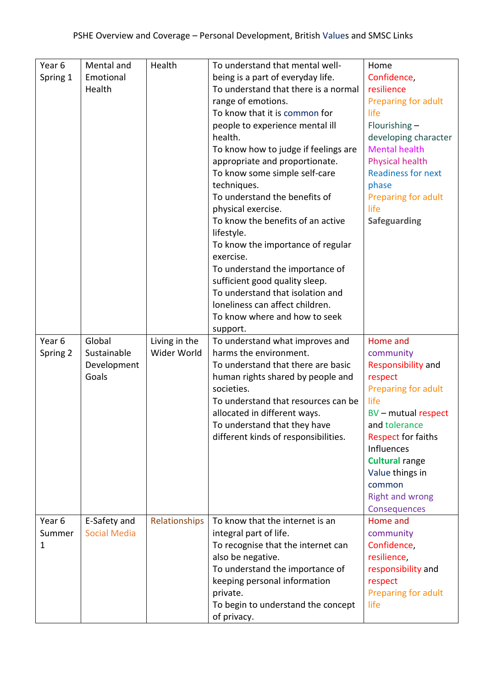| Year 6           | Mental and                          | Health        | To understand that mental well-                         | Home                        |
|------------------|-------------------------------------|---------------|---------------------------------------------------------|-----------------------------|
| Spring 1         | Emotional                           |               | being is a part of everyday life.                       | Confidence,                 |
|                  | Health                              |               | To understand that there is a normal                    | resilience                  |
|                  |                                     |               | range of emotions.                                      | Preparing for adult         |
|                  |                                     |               | To know that it is common for                           | life                        |
|                  |                                     |               | people to experience mental ill                         | Flourishing $-$             |
|                  |                                     |               | health.                                                 | developing character        |
|                  |                                     |               | To know how to judge if feelings are                    | <b>Mental health</b>        |
|                  |                                     |               | appropriate and proportionate.                          | <b>Physical health</b>      |
|                  |                                     |               | To know some simple self-care                           | <b>Readiness for next</b>   |
|                  |                                     |               | techniques.                                             | phase                       |
|                  |                                     |               | To understand the benefits of                           | Preparing for adult         |
|                  |                                     |               | physical exercise.                                      | life                        |
|                  |                                     |               | To know the benefits of an active                       | <b>Safeguarding</b>         |
|                  |                                     |               | lifestyle.                                              |                             |
|                  |                                     |               | To know the importance of regular                       |                             |
|                  |                                     |               | exercise.                                               |                             |
|                  |                                     |               | To understand the importance of                         |                             |
|                  |                                     |               | sufficient good quality sleep.                          |                             |
|                  |                                     |               | To understand that isolation and                        |                             |
|                  |                                     |               | loneliness can affect children.                         |                             |
|                  |                                     |               | To know where and how to seek                           |                             |
|                  |                                     |               | support.                                                |                             |
| Year 6           | Global                              | Living in the | To understand what improves and                         | Home and                    |
| Spring 2         | Sustainable                         | Wider World   | harms the environment.                                  | community                   |
|                  | Development                         |               | To understand that there are basic                      | Responsibility and          |
|                  | Goals                               |               | human rights shared by people and                       | respect                     |
|                  |                                     |               | societies.                                              | Preparing for adult         |
|                  |                                     |               | To understand that resources can be                     | life                        |
|                  |                                     |               | allocated in different ways.                            | BV - mutual respect         |
|                  |                                     |               | To understand that they have                            | and tolerance               |
|                  |                                     |               | different kinds of responsibilities.                    | <b>Respect for faiths</b>   |
|                  |                                     |               |                                                         | Influences                  |
|                  |                                     |               |                                                         | <b>Cultural range</b>       |
|                  |                                     |               |                                                         | Value things in             |
|                  |                                     |               |                                                         | common                      |
|                  |                                     |               |                                                         | <b>Right and wrong</b>      |
|                  |                                     |               | To know that the internet is an                         | Consequences                |
| Year 6<br>Summer | E-Safety and<br><b>Social Media</b> | Relationships |                                                         | Home and                    |
|                  |                                     |               | integral part of life.                                  | community<br>Confidence,    |
| 1                |                                     |               | To recognise that the internet can<br>also be negative. |                             |
|                  |                                     |               | To understand the importance of                         | resilience,                 |
|                  |                                     |               |                                                         | responsibility and          |
|                  |                                     |               | keeping personal information<br>private.                | respect                     |
|                  |                                     |               | To begin to understand the concept                      | Preparing for adult<br>life |
|                  |                                     |               | of privacy.                                             |                             |